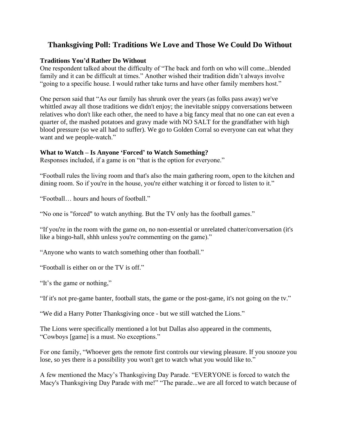## **Thanksgiving Poll: Traditions We Love and Those We Could Do Without**

## **Traditions You'd Rather Do Without**

One respondent talked about the difficulty of "The back and forth on who will come...blended family and it can be difficult at times." Another wished their tradition didn't always involve "going to a specific house. I would rather take turns and have other family members host."

One person said that "As our family has shrunk over the years (as folks pass away) we've whittled away all those traditions we didn't enjoy; the inevitable snippy conversations between relatives who don't like each other, the need to have a big fancy meal that no one can eat even a quarter of, the mashed potatoes and gravy made with NO SALT for the grandfather with high blood pressure (so we all had to suffer). We go to Golden Corral so everyone can eat what they want and we people-watch."

## **What to Watch – Is Anyone 'Forced' to Watch Something?**

Responses included, if a game is on "that is the option for everyone."

"Football rules the living room and that's also the main gathering room, open to the kitchen and dining room. So if you're in the house, you're either watching it or forced to listen to it."

"Football… hours and hours of football."

"No one is "forced" to watch anything. But the TV only has the football games."

"If you're in the room with the game on, no non-essential or unrelated chatter/conversation (it's like a bingo-hall, shhh unless you're commenting on the game)."

"Anyone who wants to watch something other than football."

"Football is either on or the TV is off."

"It's the game or nothing,"

"If it's not pre-game banter, football stats, the game or the post-game, it's not going on the tv."

"We did a Harry Potter Thanksgiving once - but we still watched the Lions."

The Lions were specifically mentioned a lot but Dallas also appeared in the comments, "Cowboys [game] is a must. No exceptions."

For one family, "Whoever gets the remote first controls our viewing pleasure. If you snooze you lose, so yes there is a possibility you won't get to watch what you would like to."

A few mentioned the Macy's Thanksgiving Day Parade. "EVERYONE is forced to watch the Macy's Thanksgiving Day Parade with me!" "The parade...we are all forced to watch because of